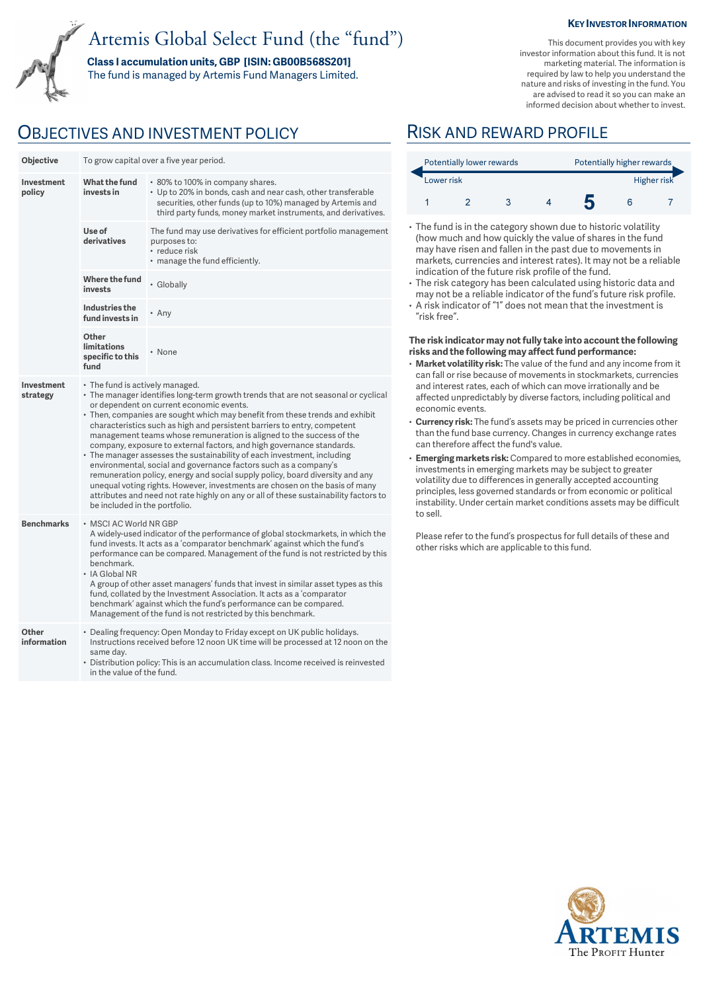# Artemis Global Select Fund (the "fund")

**Class I accumulation units, GBP [ISIN: GB00B568S201]** 

The fund is managed by Artemis Fund Managers Limited.

## OBJECTIVES AND INVESTMENT POLICY RISK AND REWARD PROFILE

| Objective              | To grow capital over a five year period.                                                                                                                                                                                                                                                                                                                                                                                                                                                                                                                                                                                                                                                                                                                                                                                                                                                                               |                                                                                                                                                                                                                                                     |  |  |  |
|------------------------|------------------------------------------------------------------------------------------------------------------------------------------------------------------------------------------------------------------------------------------------------------------------------------------------------------------------------------------------------------------------------------------------------------------------------------------------------------------------------------------------------------------------------------------------------------------------------------------------------------------------------------------------------------------------------------------------------------------------------------------------------------------------------------------------------------------------------------------------------------------------------------------------------------------------|-----------------------------------------------------------------------------------------------------------------------------------------------------------------------------------------------------------------------------------------------------|--|--|--|
| Investment<br>policy   | What the fund<br>invests in                                                                                                                                                                                                                                                                                                                                                                                                                                                                                                                                                                                                                                                                                                                                                                                                                                                                                            | • 80% to 100% in company shares.<br>• Up to 20% in bonds, cash and near cash, other transferable<br>securities, other funds (up to 10%) managed by Artemis and<br>third party funds, money market instruments, and derivatives.                     |  |  |  |
|                        | Use of<br>derivatives                                                                                                                                                                                                                                                                                                                                                                                                                                                                                                                                                                                                                                                                                                                                                                                                                                                                                                  | The fund may use derivatives for efficient portfolio management<br>purposes to:<br>• reduce risk<br>. manage the fund efficiently.                                                                                                                  |  |  |  |
|                        | Where the fund<br>invests                                                                                                                                                                                                                                                                                                                                                                                                                                                                                                                                                                                                                                                                                                                                                                                                                                                                                              | • Globally                                                                                                                                                                                                                                          |  |  |  |
|                        | Industries the<br>fund invests in                                                                                                                                                                                                                                                                                                                                                                                                                                                                                                                                                                                                                                                                                                                                                                                                                                                                                      | • Any                                                                                                                                                                                                                                               |  |  |  |
|                        | Other<br><b>limitations</b><br>specific to this<br>fund                                                                                                                                                                                                                                                                                                                                                                                                                                                                                                                                                                                                                                                                                                                                                                                                                                                                | • None                                                                                                                                                                                                                                              |  |  |  |
| Investment<br>strategy | • The fund is actively managed.<br>• The manager identifies long-term growth trends that are not seasonal or cyclical<br>or dependent on current economic events.<br>• Then, companies are sought which may benefit from these trends and exhibit<br>characteristics such as high and persistent barriers to entry, competent<br>management teams whose remuneration is aligned to the success of the<br>company, exposure to external factors, and high governance standards.<br>• The manager assesses the sustainability of each investment, including<br>environmental, social and governance factors such as a company's<br>remuneration policy, energy and social supply policy, board diversity and any<br>unequal voting rights. However, investments are chosen on the basis of many<br>attributes and need not rate highly on any or all of these sustainability factors to<br>be included in the portfolio. |                                                                                                                                                                                                                                                     |  |  |  |
| <b>Benchmarks</b>      | • MSCI AC World NR GBP<br>A widely-used indicator of the performance of global stockmarkets, in which the<br>fund invests. It acts as a 'comparator benchmark' against which the fund's<br>performance can be compared. Management of the fund is not restricted by this<br>benchmark.<br>• IA Global NR<br>A group of other asset managers' funds that invest in similar asset types as this<br>fund, collated by the Investment Association. It acts as a 'comparator<br>benchmark' against which the fund's performance can be compared.<br>Management of the fund is not restricted by this benchmark.                                                                                                                                                                                                                                                                                                             |                                                                                                                                                                                                                                                     |  |  |  |
| Other<br>information   | same dav.                                                                                                                                                                                                                                                                                                                                                                                                                                                                                                                                                                                                                                                                                                                                                                                                                                                                                                              | • Dealing frequency: Open Monday to Friday except on UK public holidays.<br>Instructions received before 12 noon UK time will be processed at 12 noon on the<br>• Distribution policy: This is an accumulation class. Income received is reinvested |  |  |  |

in the value of the fund.

### **KEY INVESTOR INFORMATION**

This document provides you with key investor information about this fund. It is not marketing material. The information is required by law to help you understand the nature and risks of investing in the fund. You are advised to read it so you can make an informed decision about whether to invest.

| Potentially lower rewards |  |  |  | Potentially higher rewards |  |  |
|---------------------------|--|--|--|----------------------------|--|--|
| Lower risk                |  |  |  | Higher risk                |  |  |
|                           |  |  |  |                            |  |  |

- The fund is in the category shown due to historic volatility (how much and how quickly the value of shares in the fund may have risen and fallen in the past due to movements in markets, currencies and interest rates). It may not be a reliable indication of the future risk profile of the fund.
- The risk category has been calculated using historic data and may not be a reliable indicator of the fund's future risk profile.
- A risk indicator of "1" does not mean that the investment is "risk free".

#### **The risk indicator may not fully take into account the following risks and the following may affect fund performance:**

- **Market volatility risk:** The value of the fund and any income from it can fall or rise because of movements in stockmarkets, currencies and interest rates, each of which can move irrationally and be affected unpredictably by diverse factors, including political and economic events.
- **Currency risk:** The fund's assets may be priced in currencies other than the fund base currency. Changes in currency exchange rates can therefore affect the fund's value.
- **Emerging markets risk:** Compared to more established economies, investments in emerging markets may be subject to greater volatility due to differences in generally accepted accounting principles, less governed standards or from economic or political instability. Under certain market conditions assets may be difficult to sell.

Please refer to the fund's prospectus for full details of these and other risks which are applicable to this fund.